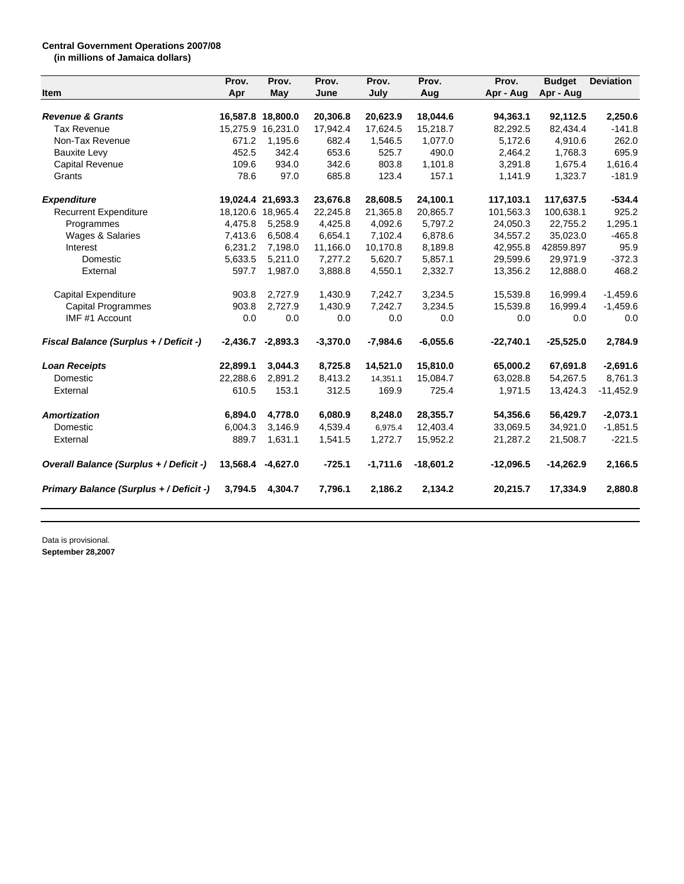## **Central Government Operations 2007/08 (in millions of Jamaica dollars)**

|                                         | Prov.      | Prov.             | Prov.<br>June | Prov.      | Prov.<br>Aug | Prov.<br>Apr - Aug | <b>Budget</b><br>Apr - Aug | <b>Deviation</b> |
|-----------------------------------------|------------|-------------------|---------------|------------|--------------|--------------------|----------------------------|------------------|
| Item                                    | Apr        | May               |               | July       |              |                    |                            |                  |
| <b>Revenue &amp; Grants</b>             |            | 16,587.8 18,800.0 | 20,306.8      | 20,623.9   | 18,044.6     | 94,363.1           | 92,112.5                   | 2,250.6          |
| <b>Tax Revenue</b>                      | 15,275.9   | 16,231.0          | 17,942.4      | 17,624.5   | 15,218.7     | 82,292.5           | 82,434.4                   | $-141.8$         |
| Non-Tax Revenue                         | 671.2      | 1,195.6           | 682.4         | 1,546.5    | 1,077.0      | 5.172.6            | 4,910.6                    | 262.0            |
| <b>Bauxite Levy</b>                     | 452.5      | 342.4             | 653.6         | 525.7      | 490.0        | 2,464.2            | 1,768.3                    | 695.9            |
| Capital Revenue                         | 109.6      | 934.0             | 342.6         | 803.8      | 1,101.8      | 3,291.8            | 1,675.4                    | 1,616.4          |
| Grants                                  | 78.6       | 97.0              | 685.8         | 123.4      | 157.1        | 1,141.9            | 1,323.7                    | $-181.9$         |
| <b>Expenditure</b>                      |            | 19,024.4 21,693.3 | 23,676.8      | 28,608.5   | 24,100.1     | 117,103.1          | 117,637.5                  | $-534.4$         |
| <b>Recurrent Expenditure</b>            |            | 18,120.6 18,965.4 | 22,245.8      | 21,365.8   | 20,865.7     | 101,563.3          | 100,638.1                  | 925.2            |
| Programmes                              | 4,475.8    | 5,258.9           | 4,425.8       | 4,092.6    | 5,797.2      | 24,050.3           | 22,755.2                   | 1,295.1          |
| Wages & Salaries                        | 7,413.6    | 6,508.4           | 6,654.1       | 7,102.4    | 6,878.6      | 34,557.2           | 35,023.0                   | $-465.8$         |
| Interest                                | 6,231.2    | 7,198.0           | 11,166.0      | 10,170.8   | 8,189.8      | 42,955.8           | 42859.897                  | 95.9             |
| Domestic                                | 5,633.5    | 5,211.0           | 7,277.2       | 5,620.7    | 5,857.1      | 29,599.6           | 29,971.9                   | $-372.3$         |
| External                                | 597.7      | 1,987.0           | 3,888.8       | 4,550.1    | 2,332.7      | 13,356.2           | 12,888.0                   | 468.2            |
| Capital Expenditure                     | 903.8      | 2,727.9           | 1,430.9       | 7,242.7    | 3,234.5      | 15,539.8           | 16,999.4                   | $-1,459.6$       |
| Capital Programmes                      | 903.8      | 2.727.9           | 1,430.9       | 7,242.7    | 3,234.5      | 15,539.8           | 16,999.4                   | $-1,459.6$       |
| IMF #1 Account                          | 0.0        | 0.0               | 0.0           | 0.0        | 0.0          | 0.0                | 0.0                        | 0.0              |
| Fiscal Balance (Surplus + / Deficit -)  | $-2,436.7$ | $-2,893.3$        | $-3,370.0$    | $-7,984.6$ | $-6,055.6$   | $-22,740.1$        | $-25,525.0$                | 2,784.9          |
| <b>Loan Receipts</b>                    | 22,899.1   | 3,044.3           | 8,725.8       | 14,521.0   | 15,810.0     | 65,000.2           | 67,691.8                   | $-2,691.6$       |
| Domestic                                | 22,288.6   | 2,891.2           | 8,413.2       | 14,351.1   | 15,084.7     | 63,028.8           | 54,267.5                   | 8,761.3          |
| External                                | 610.5      | 153.1             | 312.5         | 169.9      | 725.4        | 1,971.5            | 13,424.3                   | $-11,452.9$      |
| <b>Amortization</b>                     | 6,894.0    | 4,778.0           | 6,080.9       | 8,248.0    | 28,355.7     | 54,356.6           | 56,429.7                   | $-2,073.1$       |
| Domestic                                | 6,004.3    | 3,146.9           | 4,539.4       | 6,975.4    | 12,403.4     | 33,069.5           | 34,921.0                   | $-1,851.5$       |
| External                                | 889.7      | 1,631.1           | 1,541.5       | 1,272.7    | 15,952.2     | 21,287.2           | 21,508.7                   | $-221.5$         |
| Overall Balance (Surplus + / Deficit -) | 13,568.4   | $-4,627.0$        | $-725.1$      | $-1,711.6$ | $-18,601.2$  | $-12,096.5$        | $-14,262.9$                | 2,166.5          |
| Primary Balance (Surplus + / Deficit -) | 3.794.5    | 4,304.7           | 7,796.1       | 2,186.2    | 2,134.2      | 20,215.7           | 17,334.9                   | 2,880.8          |

Data is provisional. **September 28,2007**